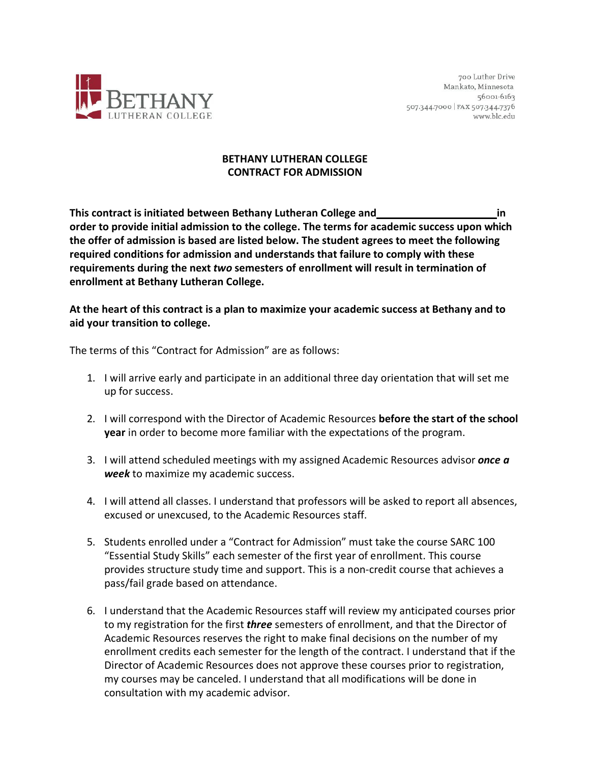

## **BETHANY LUTHERAN COLLEGE CONTRACT FOR ADMISSION**

**This contract is initiated between Bethany Lutheran College and in order to provide initial admission to the college. The terms for academic success upon which the offer of admission is based are listed below. The student agrees to meet the following required conditions for admission and understands that failure to comply with these requirements during the next** *two* **semesters of enrollment will result in termination of enrollment at Bethany Lutheran College.**

## **At the heart of this contract is a plan to maximize your academic success at Bethany and to aid your transition to college.**

The terms of this "Contract for Admission" are as follows:

- 1. I will arrive early and participate in an additional three day orientation that will set me up for success.
- 2. I will correspond with the Director of Academic Resources **before the start of the school year** in order to become more familiar with the expectations of the program.
- 3. I will attend scheduled meetings with my assigned Academic Resources advisor *once a week* to maximize my academic success.
- 4. I will attend all classes. I understand that professors will be asked to report all absences, excused or unexcused, to the Academic Resources staff.
- 5. Students enrolled under a "Contract for Admission" must take the course SARC 100 "Essential Study Skills" each semester of the first year of enrollment. This course provides structure study time and support. This is a non-credit course that achieves a pass/fail grade based on attendance.
- 6. I understand that the Academic Resources staff will review my anticipated courses prior to my registration for the first *three* semesters of enrollment, and that the Director of Academic Resources reserves the right to make final decisions on the number of my enrollment credits each semester for the length of the contract. I understand that if the Director of Academic Resources does not approve these courses prior to registration, my courses may be canceled. I understand that all modifications will be done in consultation with my academic advisor.